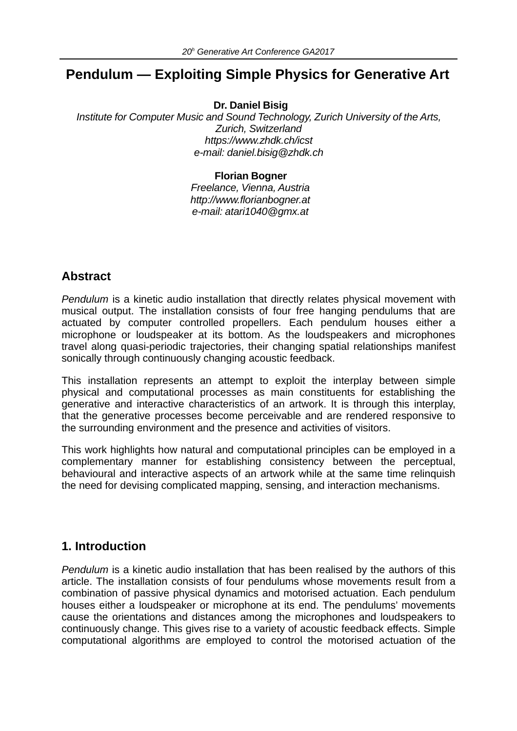# **Pendulum — Exploiting Simple Physics for Generative Art**

**Dr. Daniel Bisig**

*Institute for Computer Music and Sound Technology, Zurich University of the Arts, Zurich, Switzerland https://www.zhdk.ch/icst e-mail: daniel.bisig@zhdk.ch*

#### **Florian Bogner**

*Freelance, Vienna, Austria http://www.florianbogner.at e-mail: atari1040@gmx.at*

## **Abstract**

*Pendulum* is a kinetic audio installation that directly relates physical movement with musical output. The installation consists of four free hanging pendulums that are actuated by computer controlled propellers. Each pendulum houses either a microphone or loudspeaker at its bottom. As the loudspeakers and microphones travel along quasi-periodic trajectories, their changing spatial relationships manifest sonically through continuously changing acoustic feedback.

This installation represents an attempt to exploit the interplay between simple physical and computational processes as main constituents for establishing the generative and interactive characteristics of an artwork. It is through this interplay, that the generative processes become perceivable and are rendered responsive to the surrounding environment and the presence and activities of visitors.

This work highlights how natural and computational principles can be employed in a complementary manner for establishing consistency between the perceptual, behavioural and interactive aspects of an artwork while at the same time relinquish the need for devising complicated mapping, sensing, and interaction mechanisms.

### **1. Introduction**

*Pendulum* is a kinetic audio installation that has been realised by the authors of this article. The installation consists of four pendulums whose movements result from a combination of passive physical dynamics and motorised actuation. Each pendulum houses either a loudspeaker or microphone at its end. The pendulums' movements cause the orientations and distances among the microphones and loudspeakers to continuously change. This gives rise to a variety of acoustic feedback effects. Simple computational algorithms are employed to control the motorised actuation of the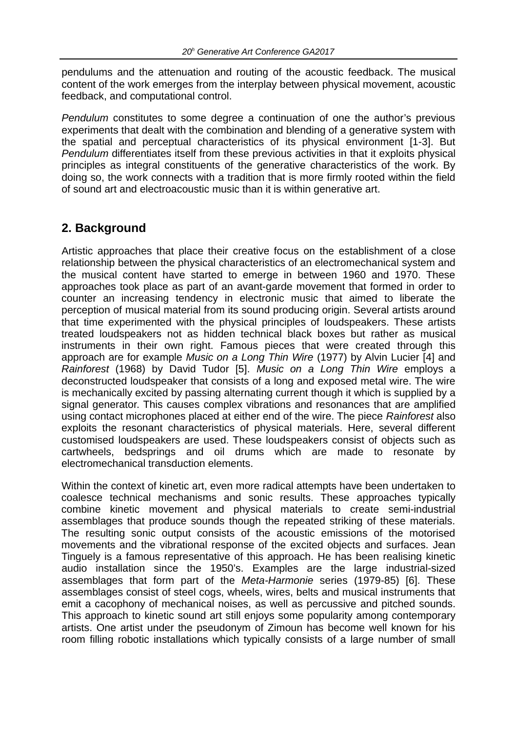pendulums and the attenuation and routing of the acoustic feedback. The musical content of the work emerges from the interplay between physical movement, acoustic feedback, and computational control.

*Pendulum* constitutes to some degree a continuation of one the author's previous experiments that dealt with the combination and blending of a generative system with the spatial and perceptual characteristics of its physical environment [1-3]. But *Pendulum* differentiates itself from these previous activities in that it exploits physical principles as integral constituents of the generative characteristics of the work. By doing so, the work connects with a tradition that is more firmly rooted within the field of sound art and electroacoustic music than it is within generative art.

## **2. Background**

Artistic approaches that place their creative focus on the establishment of a close relationship between the physical characteristics of an electromechanical system and the musical content have started to emerge in between 1960 and 1970. These approaches took place as part of an avant-garde movement that formed in order to counter an increasing tendency in electronic music that aimed to liberate the perception of musical material from its sound producing origin. Several artists around that time experimented with the physical principles of loudspeakers. These artists treated loudspeakers not as hidden technical black boxes but rather as musical instruments in their own right. Famous pieces that were created through this approach are for example *Music on a Long Thin Wire* (1977) by Alvin Lucier [4] and *Rainforest* (1968) by David Tudor [5]. *Music on a Long Thin Wire* employs a deconstructed loudspeaker that consists of a long and exposed metal wire. The wire is mechanically excited by passing alternating current though it which is supplied by a signal generator. This causes complex vibrations and resonances that are amplified using contact microphones placed at either end of the wire. The piece *Rainforest* also exploits the resonant characteristics of physical materials. Here, several different customised loudspeakers are used. These loudspeakers consist of objects such as cartwheels, bedsprings and oil drums which are made to resonate by electromechanical transduction elements.

Within the context of kinetic art, even more radical attempts have been undertaken to coalesce technical mechanisms and sonic results. These approaches typically combine kinetic movement and physical materials to create semi-industrial assemblages that produce sounds though the repeated striking of these materials. The resulting sonic output consists of the acoustic emissions of the motorised movements and the vibrational response of the excited objects and surfaces. Jean Tinguely is a famous representative of this approach. He has been realising kinetic audio installation since the 1950's. Examples are the large industrial-sized assemblages that form part of the *Meta-Harmonie* series (1979-85) [6]. These assemblages consist of steel cogs, wheels, wires, belts and musical instruments that emit a cacophony of mechanical noises, as well as percussive and pitched sounds. This approach to kinetic sound art still enjoys some popularity among contemporary artists. One artist under the pseudonym of Zimoun has become well known for his room filling robotic installations which typically consists of a large number of small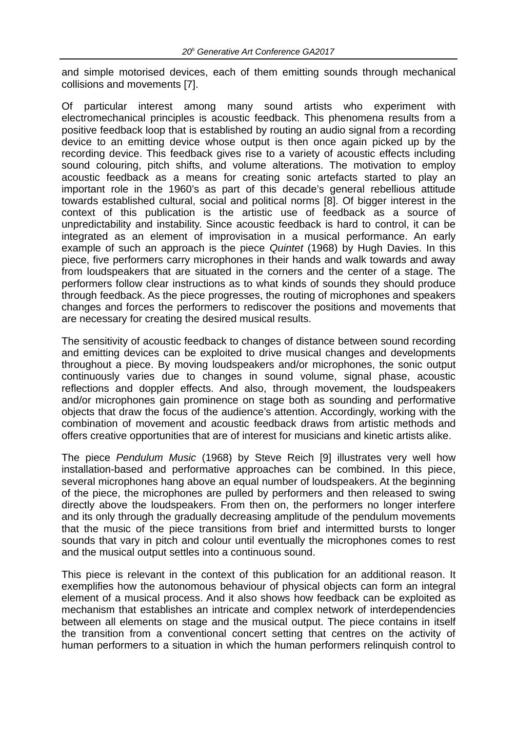and simple motorised devices, each of them emitting sounds through mechanical collisions and movements [7].

Of particular interest among many sound artists who experiment with electromechanical principles is acoustic feedback. This phenomena results from a positive feedback loop that is established by routing an audio signal from a recording device to an emitting device whose output is then once again picked up by the recording device. This feedback gives rise to a variety of acoustic effects including sound colouring, pitch shifts, and volume alterations. The motivation to employ acoustic feedback as a means for creating sonic artefacts started to play an important role in the 1960's as part of this decade's general rebellious attitude towards established cultural, social and political norms [8]. Of bigger interest in the context of this publication is the artistic use of feedback as a source of unpredictability and instability. Since acoustic feedback is hard to control, it can be integrated as an element of improvisation in a musical performance. An early example of such an approach is the piece *Quintet* (1968) by Hugh Davies. In this piece, five performers carry microphones in their hands and walk towards and away from loudspeakers that are situated in the corners and the center of a stage. The performers follow clear instructions as to what kinds of sounds they should produce through feedback. As the piece progresses, the routing of microphones and speakers changes and forces the performers to rediscover the positions and movements that are necessary for creating the desired musical results.

The sensitivity of acoustic feedback to changes of distance between sound recording and emitting devices can be exploited to drive musical changes and developments throughout a piece. By moving loudspeakers and/or microphones, the sonic output continuously varies due to changes in sound volume, signal phase, acoustic reflections and doppler effects. And also, through movement, the loudspeakers and/or microphones gain prominence on stage both as sounding and performative objects that draw the focus of the audience's attention. Accordingly, working with the combination of movement and acoustic feedback draws from artistic methods and offers creative opportunities that are of interest for musicians and kinetic artists alike.

The piece *Pendulum Music* (1968) by Steve Reich [9] illustrates very well how installation-based and performative approaches can be combined. In this piece, several microphones hang above an equal number of loudspeakers. At the beginning of the piece, the microphones are pulled by performers and then released to swing directly above the loudspeakers. From then on, the performers no longer interfere and its only through the gradually decreasing amplitude of the pendulum movements that the music of the piece transitions from brief and intermitted bursts to longer sounds that vary in pitch and colour until eventually the microphones comes to rest and the musical output settles into a continuous sound.

This piece is relevant in the context of this publication for an additional reason. It exemplifies how the autonomous behaviour of physical objects can form an integral element of a musical process. And it also shows how feedback can be exploited as mechanism that establishes an intricate and complex network of interdependencies between all elements on stage and the musical output. The piece contains in itself the transition from a conventional concert setting that centres on the activity of human performers to a situation in which the human performers relinquish control to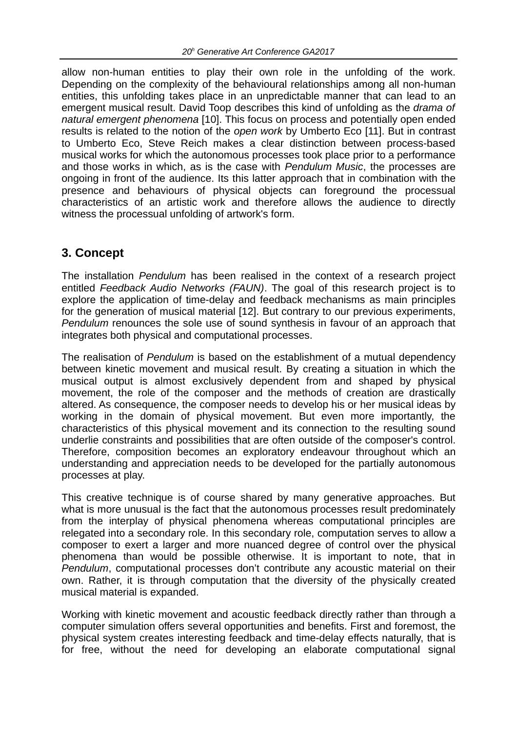allow non-human entities to play their own role in the unfolding of the work. Depending on the complexity of the behavioural relationships among all non-human entities, this unfolding takes place in an unpredictable manner that can lead to an emergent musical result. David Toop describes this kind of unfolding as the *drama of natural emergent phenomena* [10]. This focus on process and potentially open ended results is related to the notion of the *open work* by Umberto Eco [11]. But in contrast to Umberto Eco, Steve Reich makes a clear distinction between process-based musical works for which the autonomous processes took place prior to a performance and those works in which, as is the case with *Pendulum Music*, the processes are ongoing in front of the audience. Its this latter approach that in combination with the presence and behaviours of physical objects can foreground the processual characteristics of an artistic work and therefore allows the audience to directly witness the processual unfolding of artwork's form.

## **3. Concept**

The installation *Pendulum* has been realised in the context of a research project entitled *Feedback Audio Networks (FAUN)*. The goal of this research project is to explore the application of time-delay and feedback mechanisms as main principles for the generation of musical material [12]. But contrary to our previous experiments, *Pendulum* renounces the sole use of sound synthesis in favour of an approach that integrates both physical and computational processes.

The realisation of *Pendulum* is based on the establishment of a mutual dependency between kinetic movement and musical result. By creating a situation in which the musical output is almost exclusively dependent from and shaped by physical movement, the role of the composer and the methods of creation are drastically altered. As consequence, the composer needs to develop his or her musical ideas by working in the domain of physical movement. But even more importantly, the characteristics of this physical movement and its connection to the resulting sound underlie constraints and possibilities that are often outside of the composer's control. Therefore, composition becomes an exploratory endeavour throughout which an understanding and appreciation needs to be developed for the partially autonomous processes at play.

This creative technique is of course shared by many generative approaches. But what is more unusual is the fact that the autonomous processes result predominately from the interplay of physical phenomena whereas computational principles are relegated into a secondary role. In this secondary role, computation serves to allow a composer to exert a larger and more nuanced degree of control over the physical phenomena than would be possible otherwise. It is important to note, that in *Pendulum*, computational processes don't contribute any acoustic material on their own. Rather, it is through computation that the diversity of the physically created musical material is expanded.

Working with kinetic movement and acoustic feedback directly rather than through a computer simulation offers several opportunities and benefits. First and foremost, the physical system creates interesting feedback and time-delay effects naturally, that is for free, without the need for developing an elaborate computational signal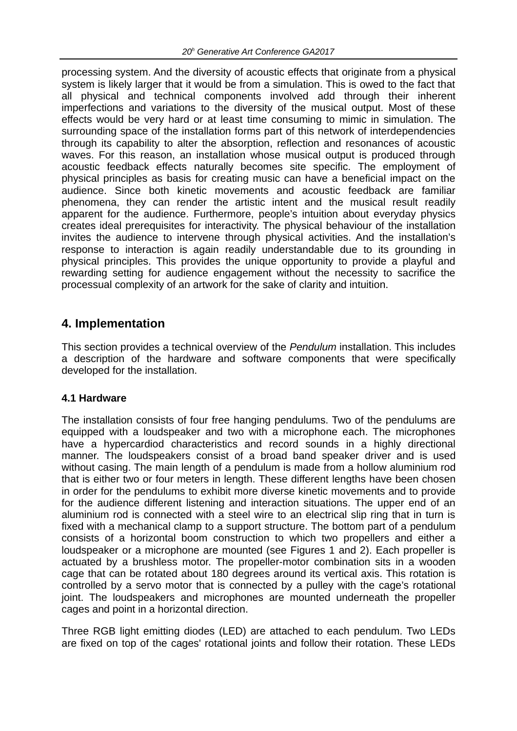processing system. And the diversity of acoustic effects that originate from a physical system is likely larger that it would be from a simulation. This is owed to the fact that all physical and technical components involved add through their inherent imperfections and variations to the diversity of the musical output. Most of these effects would be very hard or at least time consuming to mimic in simulation. The surrounding space of the installation forms part of this network of interdependencies through its capability to alter the absorption, reflection and resonances of acoustic waves. For this reason, an installation whose musical output is produced through acoustic feedback effects naturally becomes site specific. The employment of physical principles as basis for creating music can have a beneficial impact on the audience. Since both kinetic movements and acoustic feedback are familiar phenomena, they can render the artistic intent and the musical result readily apparent for the audience. Furthermore, people's intuition about everyday physics creates ideal prerequisites for interactivity. The physical behaviour of the installation invites the audience to intervene through physical activities. And the installation's response to interaction is again readily understandable due to its grounding in physical principles. This provides the unique opportunity to provide a playful and rewarding setting for audience engagement without the necessity to sacrifice the processual complexity of an artwork for the sake of clarity and intuition.

## **4. Implementation**

This section provides a technical overview of the *Pendulum* installation. This includes a description of the hardware and software components that were specifically developed for the installation.

### **4.1 Hardware**

The installation consists of four free hanging pendulums. Two of the pendulums are equipped with a loudspeaker and two with a microphone each. The microphones have a hypercardiod characteristics and record sounds in a highly directional manner. The loudspeakers consist of a broad band speaker driver and is used without casing. The main length of a pendulum is made from a hollow aluminium rod that is either two or four meters in length. These different lengths have been chosen in order for the pendulums to exhibit more diverse kinetic movements and to provide for the audience different listening and interaction situations. The upper end of an aluminium rod is connected with a steel wire to an electrical slip ring that in turn is fixed with a mechanical clamp to a support structure. The bottom part of a pendulum consists of a horizontal boom construction to which two propellers and either a loudspeaker or a microphone are mounted (see Figures 1 and 2). Each propeller is actuated by a brushless motor. The propeller-motor combination sits in a wooden cage that can be rotated about 180 degrees around its vertical axis. This rotation is controlled by a servo motor that is connected by a pulley with the cage's rotational joint. The loudspeakers and microphones are mounted underneath the propeller cages and point in a horizontal direction.

Three RGB light emitting diodes (LED) are attached to each pendulum. Two LEDs are fixed on top of the cages' rotational joints and follow their rotation. These LEDs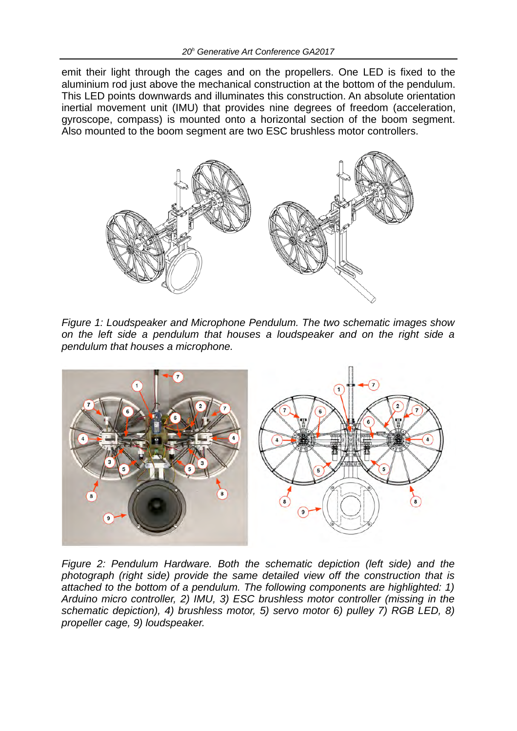emit their light through the cages and on the propellers. One LED is fixed to the aluminium rod just above the mechanical construction at the bottom of the pendulum. This LED points downwards and illuminates this construction. An absolute orientation inertial movement unit (IMU) that provides nine degrees of freedom (acceleration, gyroscope, compass) is mounted onto a horizontal section of the boom segment. Also mounted to the boom segment are two ESC brushless motor controllers.



*Figure 1: Loudspeaker and Microphone Pendulum. The two schematic images show on the left side a pendulum that houses a loudspeaker and on the right side a pendulum that houses a microphone.*



*Figure 2: Pendulum Hardware. Both the schematic depiction (left side) and the photograph (right side) provide the same detailed view off the construction that is attached to the bottom of a pendulum. The following components are highlighted: 1) Arduino micro controller, 2) IMU, 3) ESC brushless motor controller (missing in the schematic depiction), 4) brushless motor, 5) servo motor 6) pulley 7) RGB LED, 8) propeller cage, 9) loudspeaker.*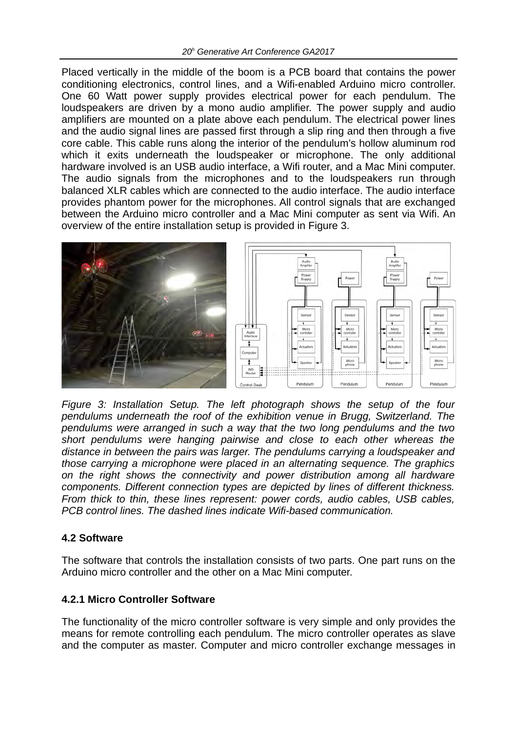Placed vertically in the middle of the boom is a PCB board that contains the power conditioning electronics, control lines, and a Wifi-enabled Arduino micro controller. One 60 Watt power supply provides electrical power for each pendulum. The loudspeakers are driven by a mono audio amplifier. The power supply and audio amplifiers are mounted on a plate above each pendulum. The electrical power lines and the audio signal lines are passed first through a slip ring and then through a five core cable. This cable runs along the interior of the pendulum's hollow aluminum rod which it exits underneath the loudspeaker or microphone. The only additional hardware involved is an USB audio interface, a Wifi router, and a Mac Mini computer. The audio signals from the microphones and to the loudspeakers run through balanced XLR cables which are connected to the audio interface. The audio interface provides phantom power for the microphones. All control signals that are exchanged between the Arduino micro controller and a Mac Mini computer as sent via Wifi. An overview of the entire installation setup is provided in Figure 3.



*Figure 3: Installation Setup. The left photograph shows the setup of the four pendulums underneath the roof of the exhibition venue in Brugg, Switzerland. The pendulums were arranged in such a way that the two long pendulums and the two short pendulums were hanging pairwise and close to each other whereas the distance in between the pairs was larger. The pendulums carrying a loudspeaker and those carrying a microphone were placed in an alternating sequence. The graphics on the right shows the connectivity and power distribution among all hardware components. Different connection types are depicted by lines of different thickness. From thick to thin, these lines represent: power cords, audio cables, USB cables, PCB control lines. The dashed lines indicate Wifi-based communication.*

### **4.2 Software**

The software that controls the installation consists of two parts. One part runs on the Arduino micro controller and the other on a Mac Mini computer.

### **4.2.1 Micro Controller Software**

The functionality of the micro controller software is very simple and only provides the means for remote controlling each pendulum. The micro controller operates as slave and the computer as master. Computer and micro controller exchange messages in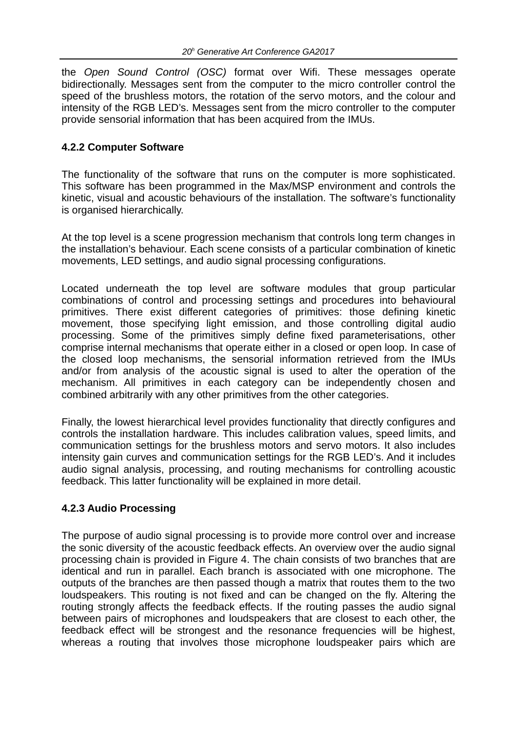the *Open Sound Control (OSC)* format over Wifi. These messages operate bidirectionally. Messages sent from the computer to the micro controller control the speed of the brushless motors, the rotation of the servo motors, and the colour and intensity of the RGB LED's. Messages sent from the micro controller to the computer provide sensorial information that has been acquired from the IMUs.

#### **4.2.2 Computer Software**

The functionality of the software that runs on the computer is more sophisticated. This software has been programmed in the Max/MSP environment and controls the kinetic, visual and acoustic behaviours of the installation. The software's functionality is organised hierarchically.

At the top level is a scene progression mechanism that controls long term changes in the installation's behaviour. Each scene consists of a particular combination of kinetic movements, LED settings, and audio signal processing configurations.

Located underneath the top level are software modules that group particular combinations of control and processing settings and procedures into behavioural primitives. There exist different categories of primitives: those defining kinetic movement, those specifying light emission, and those controlling digital audio processing. Some of the primitives simply define fixed parameterisations, other comprise internal mechanisms that operate either in a closed or open loop. In case of the closed loop mechanisms, the sensorial information retrieved from the IMUs and/or from analysis of the acoustic signal is used to alter the operation of the mechanism. All primitives in each category can be independently chosen and combined arbitrarily with any other primitives from the other categories.

Finally, the lowest hierarchical level provides functionality that directly configures and controls the installation hardware. This includes calibration values, speed limits, and communication settings for the brushless motors and servo motors. It also includes intensity gain curves and communication settings for the RGB LED's. And it includes audio signal analysis, processing, and routing mechanisms for controlling acoustic feedback. This latter functionality will be explained in more detail.

### **4.2.3 Audio Processing**

The purpose of audio signal processing is to provide more control over and increase the sonic diversity of the acoustic feedback effects. An overview over the audio signal processing chain is provided in Figure 4. The chain consists of two branches that are identical and run in parallel. Each branch is associated with one microphone. The outputs of the branches are then passed though a matrix that routes them to the two loudspeakers. This routing is not fixed and can be changed on the fly. Altering the routing strongly affects the feedback effects. If the routing passes the audio signal between pairs of microphones and loudspeakers that are closest to each other, the feedback effect will be strongest and the resonance frequencies will be highest, whereas a routing that involves those microphone loudspeaker pairs which are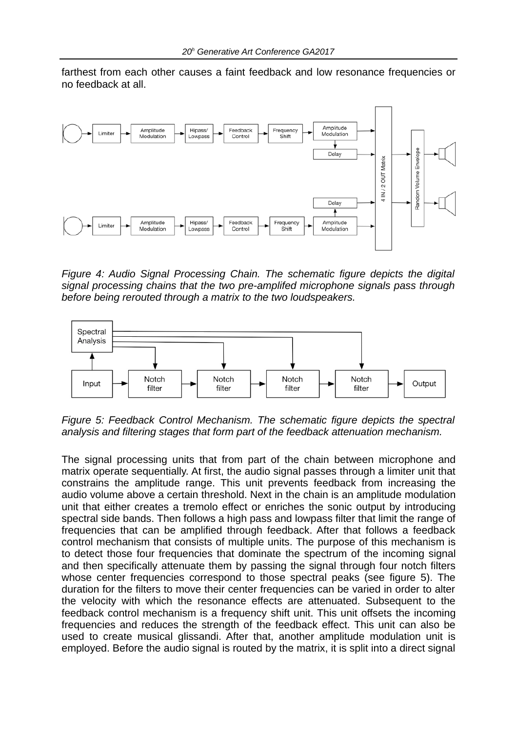farthest from each other causes a faint feedback and low resonance frequencies or no feedback at all.



*Figure 4: Audio Signal Processing Chain. The schematic figure depicts the digital signal processing chains that the two pre-amplifed microphone signals pass through before being rerouted through a matrix to the two loudspeakers.*



*Figure 5: Feedback Control Mechanism. The schematic figure depicts the spectral analysis and filtering stages that form part of the feedback attenuation mechanism.*

The signal processing units that from part of the chain between microphone and matrix operate sequentially. At first, the audio signal passes through a limiter unit that constrains the amplitude range. This unit prevents feedback from increasing the audio volume above a certain threshold. Next in the chain is an amplitude modulation unit that either creates a tremolo effect or enriches the sonic output by introducing spectral side bands. Then follows a high pass and lowpass filter that limit the range of frequencies that can be amplified through feedback. After that follows a feedback control mechanism that consists of multiple units. The purpose of this mechanism is to detect those four frequencies that dominate the spectrum of the incoming signal and then specifically attenuate them by passing the signal through four notch filters whose center frequencies correspond to those spectral peaks (see figure 5). The duration for the filters to move their center frequencies can be varied in order to alter the velocity with which the resonance effects are attenuated. Subsequent to the feedback control mechanism is a frequency shift unit. This unit offsets the incoming frequencies and reduces the strength of the feedback effect. This unit can also be used to create musical glissandi. After that, another amplitude modulation unit is employed. Before the audio signal is routed by the matrix, it is split into a direct signal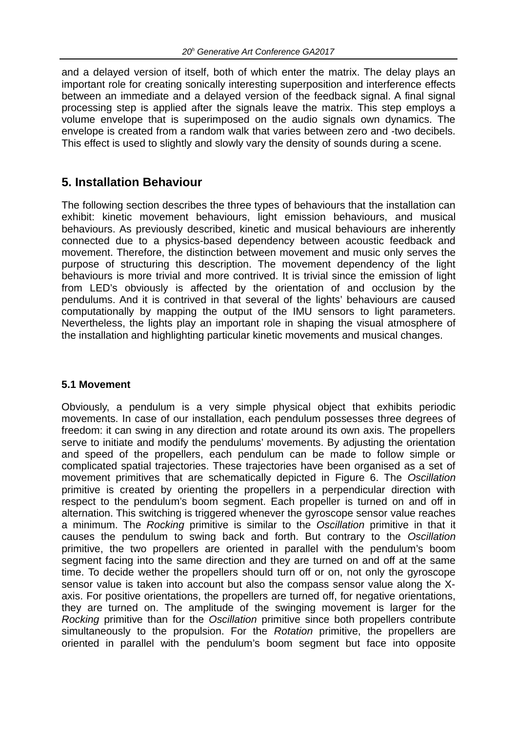and a delayed version of itself, both of which enter the matrix. The delay plays an important role for creating sonically interesting superposition and interference effects between an immediate and a delayed version of the feedback signal. A final signal processing step is applied after the signals leave the matrix. This step employs a volume envelope that is superimposed on the audio signals own dynamics. The envelope is created from a random walk that varies between zero and -two decibels. This effect is used to slightly and slowly vary the density of sounds during a scene.

### **5. Installation Behaviour**

The following section describes the three types of behaviours that the installation can exhibit: kinetic movement behaviours, light emission behaviours, and musical behaviours. As previously described, kinetic and musical behaviours are inherently connected due to a physics-based dependency between acoustic feedback and movement. Therefore, the distinction between movement and music only serves the purpose of structuring this description. The movement dependency of the light behaviours is more trivial and more contrived. It is trivial since the emission of light from LED's obviously is affected by the orientation of and occlusion by the pendulums. And it is contrived in that several of the lights' behaviours are caused computationally by mapping the output of the IMU sensors to light parameters. Nevertheless, the lights play an important role in shaping the visual atmosphere of the installation and highlighting particular kinetic movements and musical changes.

#### **5.1 Movement**

Obviously, a pendulum is a very simple physical object that exhibits periodic movements. In case of our installation, each pendulum possesses three degrees of freedom: it can swing in any direction and rotate around its own axis. The propellers serve to initiate and modify the pendulums' movements. By adjusting the orientation and speed of the propellers, each pendulum can be made to follow simple or complicated spatial trajectories. These trajectories have been organised as a set of movement primitives that are schematically depicted in Figure 6. The *Oscillation* primitive is created by orienting the propellers in a perpendicular direction with respect to the pendulum's boom segment. Each propeller is turned on and off in alternation. This switching is triggered whenever the gyroscope sensor value reaches a minimum. The *Rocking* primitive is similar to the *Oscillation* primitive in that it causes the pendulum to swing back and forth. But contrary to the *Oscillation* primitive, the two propellers are oriented in parallel with the pendulum's boom segment facing into the same direction and they are turned on and off at the same time. To decide wether the propellers should turn off or on, not only the gyroscope sensor value is taken into account but also the compass sensor value along the Xaxis. For positive orientations, the propellers are turned off, for negative orientations, they are turned on. The amplitude of the swinging movement is larger for the *Rocking* primitive than for the *Oscillation* primitive since both propellers contribute simultaneously to the propulsion. For the *Rotation* primitive, the propellers are oriented in parallel with the pendulum's boom segment but face into opposite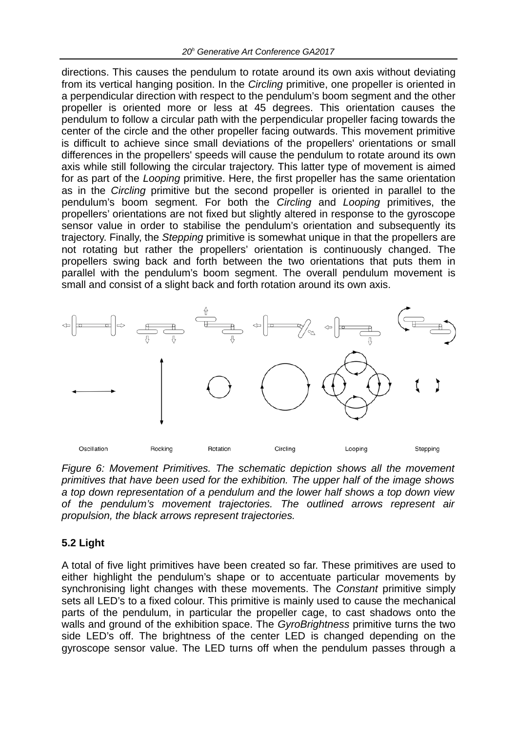directions. This causes the pendulum to rotate around its own axis without deviating from its vertical hanging position. In the *Circling* primitive, one propeller is oriented in a perpendicular direction with respect to the pendulum's boom segment and the other propeller is oriented more or less at 45 degrees. This orientation causes the pendulum to follow a circular path with the perpendicular propeller facing towards the center of the circle and the other propeller facing outwards. This movement primitive is difficult to achieve since small deviations of the propellers' orientations or small differences in the propellers' speeds will cause the pendulum to rotate around its own axis while still following the circular trajectory. This latter type of movement is aimed for as part of the *Looping* primitive. Here, the first propeller has the same orientation as in the *Circling* primitive but the second propeller is oriented in parallel to the pendulum's boom segment. For both the *Circling* and *Looping* primitives, the propellers' orientations are not fixed but slightly altered in response to the gyroscope sensor value in order to stabilise the pendulum's orientation and subsequently its trajectory. Finally, the *Stepping* primitive is somewhat unique in that the propellers are not rotating but rather the propellers' orientation is continuously changed. The propellers swing back and forth between the two orientations that puts them in parallel with the pendulum's boom segment. The overall pendulum movement is small and consist of a slight back and forth rotation around its own axis.



*Figure 6: Movement Primitives. The schematic depiction shows all the movement primitives that have been used for the exhibition. The upper half of the image shows a top down representation of a pendulum and the lower half shows a top down view of the pendulum's movement trajectories. The outlined arrows represent air propulsion, the black arrows represent trajectories.*

### **5.2 Light**

A total of five light primitives have been created so far. These primitives are used to either highlight the pendulum's shape or to accentuate particular movements by synchronising light changes with these movements. The *Constant* primitive simply sets all LED's to a fixed colour. This primitive is mainly used to cause the mechanical parts of the pendulum, in particular the propeller cage, to cast shadows onto the walls and ground of the exhibition space. The *GyroBrightness* primitive turns the two side LED's off. The brightness of the center LED is changed depending on the gyroscope sensor value. The LED turns off when the pendulum passes through a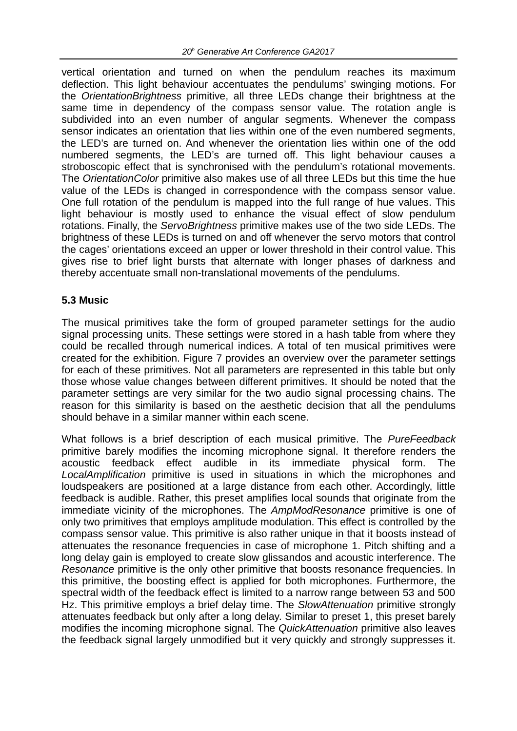vertical orientation and turned on when the pendulum reaches its maximum deflection. This light behaviour accentuates the pendulums' swinging motions. For the *OrientationBrightness* primitive, all three LEDs change their brightness at the same time in dependency of the compass sensor value. The rotation angle is subdivided into an even number of angular segments. Whenever the compass sensor indicates an orientation that lies within one of the even numbered segments, the LED's are turned on. And whenever the orientation lies within one of the odd numbered segments, the LED's are turned off. This light behaviour causes a stroboscopic effect that is synchronised with the pendulum's rotational movements. The *OrientationColor* primitive also makes use of all three LEDs but this time the hue value of the LEDs is changed in correspondence with the compass sensor value. One full rotation of the pendulum is mapped into the full range of hue values. This light behaviour is mostly used to enhance the visual effect of slow pendulum rotations. Finally, the *ServoBrightness* primitive makes use of the two side LEDs. The brightness of these LEDs is turned on and off whenever the servo motors that control the cages' orientations exceed an upper or lower threshold in their control value. This gives rise to brief light bursts that alternate with longer phases of darkness and thereby accentuate small non-translational movements of the pendulums.

#### **5.3 Music**

The musical primitives take the form of grouped parameter settings for the audio signal processing units. These settings were stored in a hash table from where they could be recalled through numerical indices. A total of ten musical primitives were created for the exhibition. Figure 7 provides an overview over the parameter settings for each of these primitives. Not all parameters are represented in this table but only those whose value changes between different primitives. It should be noted that the parameter settings are very similar for the two audio signal processing chains. The reason for this similarity is based on the aesthetic decision that all the pendulums should behave in a similar manner within each scene.

What follows is a brief description of each musical primitive. The *PureFeedback* primitive barely modifies the incoming microphone signal. It therefore renders the acoustic feedback effect audible in its immediate physical form. The *LocalAmplification* primitive is used in situations in which the microphones and loudspeakers are positioned at a large distance from each other. Accordingly, little feedback is audible. Rather, this preset amplifies local sounds that originate from the immediate vicinity of the microphones. The *AmpModResonance* primitive is one of only two primitives that employs amplitude modulation. This effect is controlled by the compass sensor value. This primitive is also rather unique in that it boosts instead of attenuates the resonance frequencies in case of microphone 1. Pitch shifting and a long delay gain is employed to create slow glissandos and acoustic interference. The *Resonance* primitive is the only other primitive that boosts resonance frequencies. In this primitive, the boosting effect is applied for both microphones. Furthermore, the spectral width of the feedback effect is limited to a narrow range between 53 and 500 Hz. This primitive employs a brief delay time. The *SlowAttenuation* primitive strongly attenuates feedback but only after a long delay. Similar to preset 1, this preset barely modifies the incoming microphone signal. The *QuickAttenuation* primitive also leaves the feedback signal largely unmodified but it very quickly and strongly suppresses it.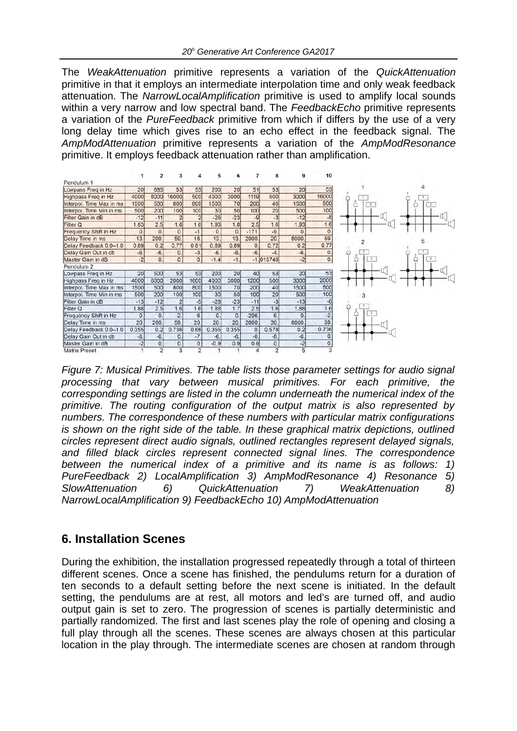The *WeakAttenuation* primitive represents a variation of the *QuickAttenuation* primitive in that it employs an intermediate interpolation time and only weak feedback attenuation. The *NarrowLocalAmplification* primitive is used to amplify local sounds within a very narrow and low spectral band. The *FeedbackEcho* primitive represents a variation of the *PureFeedback* primitive from which if differs by the use of a very long delay time which gives rise to an echo effect in the feedback signal. The *AmpModAttenuation* primitive represents a variation of the *AmpModResonance* primitive. It employs feedback attenuation rather than amplification.

|                            |                 | 2              | з              |                | 5            |              |          | 8              | 9            | 10                          |
|----------------------------|-----------------|----------------|----------------|----------------|--------------|--------------|----------|----------------|--------------|-----------------------------|
| Pendulum 1                 |                 |                |                |                |              |              |          |                |              |                             |
| Lowpass Freq in Hz         | 20              | 685            | 53             | 53             | 200          | 20           | 51       | 53             | 20           | 53                          |
| <b>Highpass Freq in Hz</b> | 4000            | 6000           | 16000          | 500            | 4000         | 3000         | 1119     | 500            | 3000         | 16000                       |
| Interpol. Time Max in ms   | 1500            | 500            | 800            | 800            | 1500         | 70           | 200      | 40             | 1500         | 500                         |
| Interpol. Time Min in ms.  | 500             | 200            | 100            | 100            | 30           | 50           | 100      | 20             | 500          | 100                         |
| Filter Gain in dB          | $-12$           | $-11$          | $\overline{2}$ | $\overline{2}$ | $-26$        | $-23$        | $-9$     | $-3$           | $-12$        | $-8$                        |
| Filter Q                   | 1.83            | 2.5            | 1.6            | 1.6            | 1.93         | 1.8          | 2.5      | 1.6            | 1.93         | 1.6                         |
| Frequency Shift in Hz      | 0.              | $\mathbf{0}$   | 0.             | $-1.$          | 0.           | $\Omega$     | $-171$   | $-9.$          | $\mathbf{0}$ | 0.                          |
| Delay Time in ms           | 13.             | 200.           | 59.            | 16.            | 13.          | 13.          | 2000     | 20.            | 8000         | 59.                         |
| Delay Feedback 0.0-1.0     | 0.89            | 0.2            | 0.77           | 0.81           | 0.89         | 0.89         | $\Omega$ | 0.72           | 0.2          | 0.77                        |
| Delay Gain Out in db       | $-6.$           | $-6.$          | 0.             | $-3.$          | $-6.$        | $-6.$        | $-6.$    | $-4$           | $-6.$        | 0.                          |
| Master Gain in dB          | $-2$            | 0.             | $\mathbf{0}$   | $\mathbf{0}$   | $-1.4$       | $-1.$        |          | $-1.015748$    | $-2$         | $\overline{\mathfrak{o}}$ . |
| Pendulum <sub>2</sub>      |                 |                |                |                |              |              |          |                |              |                             |
| Lowpass Freq in Hz         | 20 <sub>l</sub> | 500            | 53             | 53             | 200          | 20           | 40       | 53             | 20           | 53                          |
| Highpass Freq in Hz        | 4000            | 6000           | 2000           | 1600           | 4000         | 3000         | 1200     | 500            | 3000         | 2000                        |
| Interpol. Time Max in ms   | 1500            | 500            | 800            | 800            | 1500         | 70           | 200      | 40             | 1500         | 500                         |
| Interpol. Time Min in ms   | 500             | 200            | 100            | 100            | 30           | 50           | 100      | 20             | 500          | 100                         |
| Filter Gain in dB          | $-13$           | $-12$          | $\overline{2}$ | $-5$           | $-28$        | $-23$        | $-11$    | $-3$           | $-13$        | $-6$                        |
| Filter Q                   | 1.88            | 2.5            | 1.6            | 1.6            | 1.88         | 1.7          | 2.5      | 1.6            | 1.88         | 1.6                         |
| Frequency Shift in Hz      | 0.              | $\mathbf{0}$   | $-2$           | 6.             | $\mathbf{0}$ | $\mathbf{0}$ | $-206.$  | 6.             | $\Omega$     | $\overline{.2}$             |
| Delay Time in ms           | 20.             | 200.           | 59.            | 20.            | 20           | 20.          | 2000     | 30.            | 8000         | 59.                         |
| Delay Feedback 0.0-1.0     | 0.355           | 0.2            | 0.736          | 0.66           | 0.355        | 0.355        | 0.       | 0.578          | 0.2          | 0.736                       |
| Delay Gain Out in db       | $-6.$           | $-6.$          | 0.             | $-7.$          | $-6.$        | $-6.$        | $-6.$    | $-8.$          | $-6.$        | 0.                          |
| Master Gain in dB          | $-2$            | $\mathsf{O}$   | 0.             | $\mathsf{O}$ . | $-0.9$       | 0.9          | 0.9      | 0.             | $-2$         | $\overline{0}$ .            |
| Matrix Preset              |                 | $\overline{2}$ | 3              | 2              |              |              |          | $\overline{2}$ | 5            | 3                           |

*Figure 7: Musical Primitives. The table lists those parameter settings for audio signal processing that vary between musical primitives. For each primitive, the corresponding settings are listed in the column underneath the numerical index of the primitive. The routing configuration of the output matrix is also represented by numbers. The correspondence of these numbers with particular matrix configurations is shown on the right side of the table. In these graphical matrix depictions, outlined circles represent direct audio signals, outlined rectangles represent delayed signals, and filled black circles represent connected signal lines. The correspondence between the numerical index of a primitive and its name is as follows: 1) PureFeedback 2) LocalAmplification 3) AmpModResonance 4) Resonance 5) SlowAttenuation 6) QuickAttenuation 7) WeakAttenuation 8) NarrowLocalAmplification 9) FeedbackEcho 10) AmpModAttenuation*

## **6. Installation Scenes**

During the exhibition, the installation progressed repeatedly through a total of thirteen different scenes. Once a scene has finished, the pendulums return for a duration of ten seconds to a default setting before the next scene is initiated. In the default setting, the pendulums are at rest, all motors and led's are turned off, and audio output gain is set to zero. The progression of scenes is partially deterministic and partially randomized. The first and last scenes play the role of opening and closing a full play through all the scenes. These scenes are always chosen at this particular location in the play through. The intermediate scenes are chosen at random through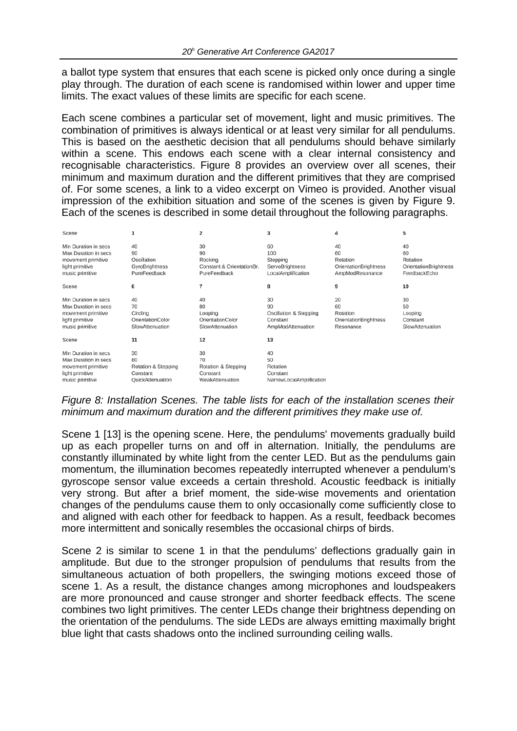a ballot type system that ensures that each scene is picked only once during a single play through. The duration of each scene is randomised within lower and upper time limits. The exact values of these limits are specific for each scene.

Each scene combines a particular set of movement, light and music primitives. The combination of primitives is always identical or at least very similar for all pendulums. This is based on the aesthetic decision that all pendulums should behave similarly within a scene. This endows each scene with a clear internal consistency and recognisable characteristics. Figure 8 provides an overview over all scenes, their minimum and maximum duration and the different primitives that they are comprised of. For some scenes, a link to a video excerpt on Vimeo is provided. Another visual impression of the exhibition situation and some of the scenes is given by Figure 9. Each of the scenes is described in some detail throughout the following paragraphs.

| Scene                                                                                                    |                                                                        | 2                                                                | 3                                                                   | 4                                                                | 5                                                             |
|----------------------------------------------------------------------------------------------------------|------------------------------------------------------------------------|------------------------------------------------------------------|---------------------------------------------------------------------|------------------------------------------------------------------|---------------------------------------------------------------|
| Min Duration in secs<br>Max Duration in secs<br>movement primitive<br>light primitive<br>music primitive | 40<br>90<br>Oscillation<br>GyroBrightness<br>PureFeedback              | 30<br>90<br>Rocking<br>Constant & OrientationBr.<br>PureFeedback | 60<br>100<br>Stepping<br>ServoBrightness<br>LocalAmplification      | 40<br>60<br>Rotation<br>OrientationBrightness<br>AmpModResonance | 40<br>60<br>Rotation<br>OrientationBrightness<br>FeedbackEcho |
| Scene                                                                                                    | 6                                                                      |                                                                  | 8                                                                   | 9                                                                | 10                                                            |
| Min Duration in secs<br>Max Duration in secs<br>movement primitive<br>light primitive<br>music primitive | 40<br>70<br>Circling<br>OrientationColor<br>SlowAttenuation            | 40<br>80<br>Looping<br>OrientationColor<br>SlowAttenuation       | 30<br>90<br>Oscillation & Stepping<br>Constant<br>AmpModAttenuation | 20<br>60<br>Rotation<br>OrientationBrightness<br>Resonance       | 30<br>50<br>Looping<br>Constant<br>SlowAttenuation            |
| Scene                                                                                                    | 11                                                                     | 12                                                               | 13                                                                  |                                                                  |                                                               |
| Min Duration in secs<br>Max Duration in secs<br>movement primitive<br>light primitive<br>music primitive | 30<br>80<br>Rotation & Stepping<br>Constant<br><b>QuickAttenuation</b> | 30<br>70<br>Rotation & Stepping<br>Constant<br>WeakAttenuation   | 40<br>50<br>Rotation<br>Constant<br>NarrowLocalAmplification        |                                                                  |                                                               |

#### *Figure 8: Installation Scenes. The table lists for each of the installation scenes their minimum and maximum duration and the different primitives they make use of.*

Scene 1 [13] is the opening scene. Here, the pendulums' movements gradually build up as each propeller turns on and off in alternation. Initially, the pendulums are constantly illuminated by white light from the center LED. But as the pendulums gain momentum, the illumination becomes repeatedly interrupted whenever a pendulum's gyroscope sensor value exceeds a certain threshold. Acoustic feedback is initially very strong. But after a brief moment, the side-wise movements and orientation changes of the pendulums cause them to only occasionally come sufficiently close to and aligned with each other for feedback to happen. As a result, feedback becomes more intermittent and sonically resembles the occasional chirps of birds.

Scene 2 is similar to scene 1 in that the pendulums' deflections gradually gain in amplitude. But due to the stronger propulsion of pendulums that results from the simultaneous actuation of both propellers, the swinging motions exceed those of scene 1. As a result, the distance changes among microphones and loudspeakers are more pronounced and cause stronger and shorter feedback effects. The scene combines two light primitives. The center LEDs change their brightness depending on the orientation of the pendulums. The side LEDs are always emitting maximally bright blue light that casts shadows onto the inclined surrounding ceiling walls.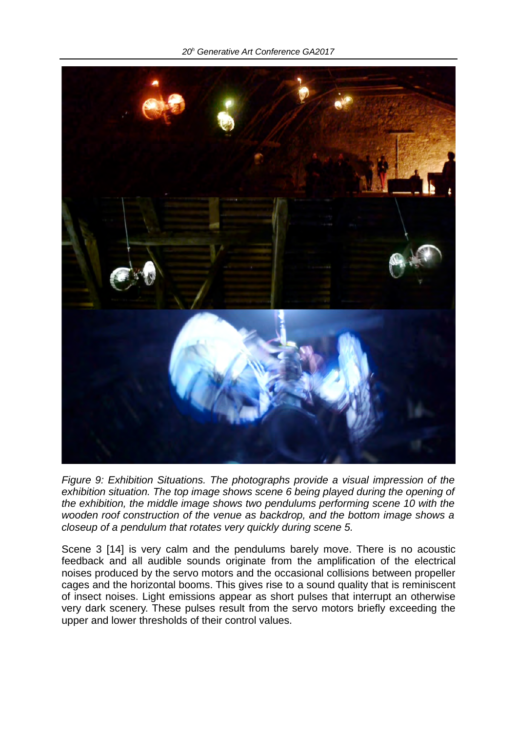*20h Generative Art Conference GA2017*



*Figure 9: Exhibition Situations. The photographs provide a visual impression of the exhibition situation. The top image shows scene 6 being played during the opening of the exhibition, the middle image shows two pendulums performing scene 10 with the wooden roof construction of the venue as backdrop, and the bottom image shows a closeup of a pendulum that rotates very quickly during scene 5.*

Scene 3 [14] is very calm and the pendulums barely move. There is no acoustic feedback and all audible sounds originate from the amplification of the electrical noises produced by the servo motors and the occasional collisions between propeller cages and the horizontal booms. This gives rise to a sound quality that is reminiscent of insect noises. Light emissions appear as short pulses that interrupt an otherwise very dark scenery. These pulses result from the servo motors briefly exceeding the upper and lower thresholds of their control values.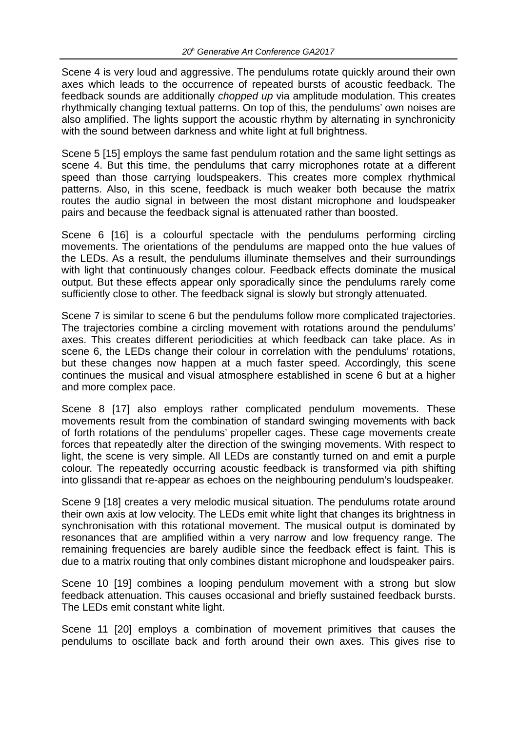Scene 4 is very loud and aggressive. The pendulums rotate quickly around their own axes which leads to the occurrence of repeated bursts of acoustic feedback. The feedback sounds are additionally *chopped up* via amplitude modulation. This creates rhythmically changing textual patterns. On top of this, the pendulums' own noises are also amplified. The lights support the acoustic rhythm by alternating in synchronicity with the sound between darkness and white light at full brightness.

Scene 5 [15] employs the same fast pendulum rotation and the same light settings as scene 4. But this time, the pendulums that carry microphones rotate at a different speed than those carrying loudspeakers. This creates more complex rhythmical patterns. Also, in this scene, feedback is much weaker both because the matrix routes the audio signal in between the most distant microphone and loudspeaker pairs and because the feedback signal is attenuated rather than boosted.

Scene 6 [16] is a colourful spectacle with the pendulums performing circling movements. The orientations of the pendulums are mapped onto the hue values of the LEDs. As a result, the pendulums illuminate themselves and their surroundings with light that continuously changes colour. Feedback effects dominate the musical output. But these effects appear only sporadically since the pendulums rarely come sufficiently close to other. The feedback signal is slowly but strongly attenuated.

Scene 7 is similar to scene 6 but the pendulums follow more complicated trajectories. The trajectories combine a circling movement with rotations around the pendulums' axes. This creates different periodicities at which feedback can take place. As in scene 6, the LEDs change their colour in correlation with the pendulums' rotations, but these changes now happen at a much faster speed. Accordingly, this scene continues the musical and visual atmosphere established in scene 6 but at a higher and more complex pace.

Scene 8 [17] also employs rather complicated pendulum movements. These movements result from the combination of standard swinging movements with back of forth rotations of the pendulums' propeller cages. These cage movements create forces that repeatedly alter the direction of the swinging movements. With respect to light, the scene is very simple. All LEDs are constantly turned on and emit a purple colour. The repeatedly occurring acoustic feedback is transformed via pith shifting into glissandi that re-appear as echoes on the neighbouring pendulum's loudspeaker.

Scene 9 [18] creates a very melodic musical situation. The pendulums rotate around their own axis at low velocity. The LEDs emit white light that changes its brightness in synchronisation with this rotational movement. The musical output is dominated by resonances that are amplified within a very narrow and low frequency range. The remaining frequencies are barely audible since the feedback effect is faint. This is due to a matrix routing that only combines distant microphone and loudspeaker pairs.

Scene 10 [19] combines a looping pendulum movement with a strong but slow feedback attenuation. This causes occasional and briefly sustained feedback bursts. The LEDs emit constant white light.

Scene 11 [20] employs a combination of movement primitives that causes the pendulums to oscillate back and forth around their own axes. This gives rise to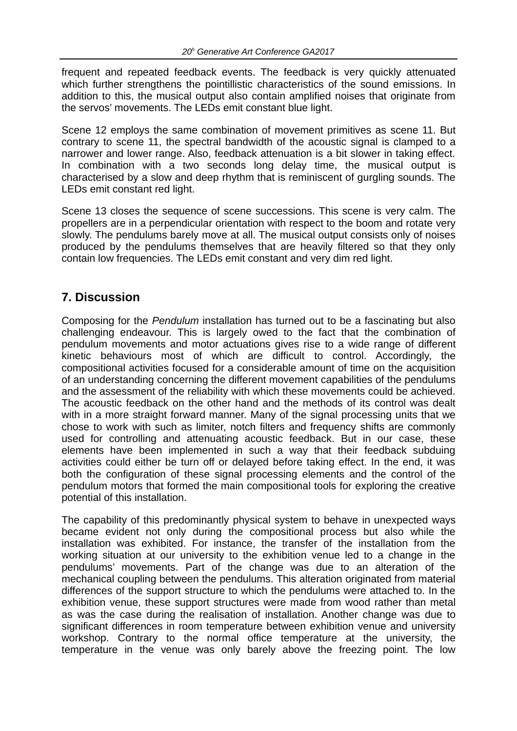frequent and repeated feedback events. The feedback is very quickly attenuated which further strengthens the pointillistic characteristics of the sound emissions. In addition to this, the musical output also contain amplified noises that originate from the servos' movements. The LEDs emit constant blue light.

Scene 12 employs the same combination of movement primitives as scene 11. But contrary to scene 11, the spectral bandwidth of the acoustic signal is clamped to a narrower and lower range. Also, feedback attenuation is a bit slower in taking effect. In combination with a two seconds long delay time, the musical output is characterised by a slow and deep rhythm that is reminiscent of gurgling sounds. The LEDs emit constant red light.

Scene 13 closes the sequence of scene successions. This scene is very calm. The propellers are in a perpendicular orientation with respect to the boom and rotate very slowly. The pendulums barely move at all. The musical output consists only of noises produced by the pendulums themselves that are heavily filtered so that they only contain low frequencies. The LEDs emit constant and very dim red light.

# **7. Discussion**

Composing for the *Pendulum* installation has turned out to be a fascinating but also challenging endeavour. This is largely owed to the fact that the combination of pendulum movements and motor actuations gives rise to a wide range of different kinetic behaviours most of which are difficult to control. Accordingly, the compositional activities focused for a considerable amount of time on the acquisition of an understanding concerning the different movement capabilities of the pendulums and the assessment of the reliability with which these movements could be achieved. The acoustic feedback on the other hand and the methods of its control was dealt with in a more straight forward manner. Many of the signal processing units that we chose to work with such as limiter, notch filters and frequency shifts are commonly used for controlling and attenuating acoustic feedback. But in our case, these elements have been implemented in such a way that their feedback subduing activities could either be turn off or delayed before taking effect. In the end, it was both the configuration of these signal processing elements and the control of the pendulum motors that formed the main compositional tools for exploring the creative potential of this installation.

The capability of this predominantly physical system to behave in unexpected ways became evident not only during the compositional process but also while the installation was exhibited. For instance, the transfer of the installation from the working situation at our university to the exhibition venue led to a change in the pendulums' movements. Part of the change was due to an alteration of the mechanical coupling between the pendulums. This alteration originated from material differences of the support structure to which the pendulums were attached to. In the exhibition venue, these support structures were made from wood rather than metal as was the case during the realisation of installation. Another change was due to significant differences in room temperature between exhibition venue and university workshop. Contrary to the normal office temperature at the university, the temperature in the venue was only barely above the freezing point. The low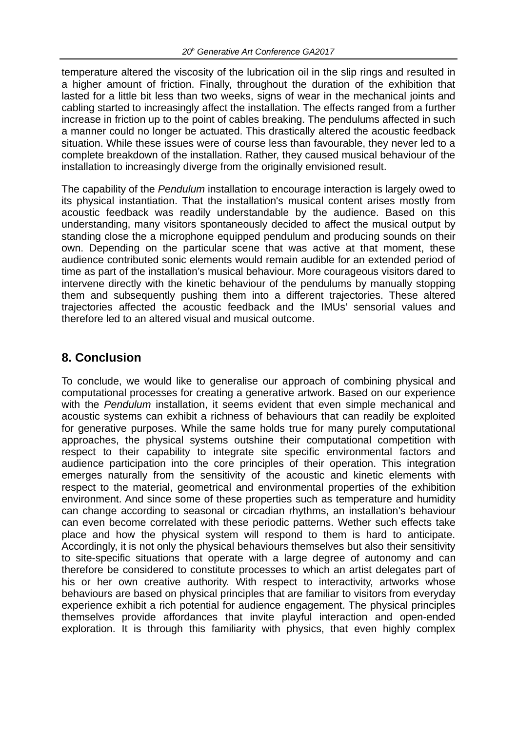temperature altered the viscosity of the lubrication oil in the slip rings and resulted in a higher amount of friction. Finally, throughout the duration of the exhibition that lasted for a little bit less than two weeks, signs of wear in the mechanical joints and cabling started to increasingly affect the installation. The effects ranged from a further increase in friction up to the point of cables breaking. The pendulums affected in such a manner could no longer be actuated. This drastically altered the acoustic feedback situation. While these issues were of course less than favourable, they never led to a complete breakdown of the installation. Rather, they caused musical behaviour of the installation to increasingly diverge from the originally envisioned result.

The capability of the *Pendulum* installation to encourage interaction is largely owed to its physical instantiation. That the installation's musical content arises mostly from acoustic feedback was readily understandable by the audience. Based on this understanding, many visitors spontaneously decided to affect the musical output by standing close the a microphone equipped pendulum and producing sounds on their own. Depending on the particular scene that was active at that moment, these audience contributed sonic elements would remain audible for an extended period of time as part of the installation's musical behaviour. More courageous visitors dared to intervene directly with the kinetic behaviour of the pendulums by manually stopping them and subsequently pushing them into a different trajectories. These altered trajectories affected the acoustic feedback and the IMUs' sensorial values and therefore led to an altered visual and musical outcome.

## **8. Conclusion**

To conclude, we would like to generalise our approach of combining physical and computational processes for creating a generative artwork. Based on our experience with the *Pendulum* installation, it seems evident that even simple mechanical and acoustic systems can exhibit a richness of behaviours that can readily be exploited for generative purposes. While the same holds true for many purely computational approaches, the physical systems outshine their computational competition with respect to their capability to integrate site specific environmental factors and audience participation into the core principles of their operation. This integration emerges naturally from the sensitivity of the acoustic and kinetic elements with respect to the material, geometrical and environmental properties of the exhibition environment. And since some of these properties such as temperature and humidity can change according to seasonal or circadian rhythms, an installation's behaviour can even become correlated with these periodic patterns. Wether such effects take place and how the physical system will respond to them is hard to anticipate. Accordingly, it is not only the physical behaviours themselves but also their sensitivity to site-specific situations that operate with a large degree of autonomy and can therefore be considered to constitute processes to which an artist delegates part of his or her own creative authority. With respect to interactivity, artworks whose behaviours are based on physical principles that are familiar to visitors from everyday experience exhibit a rich potential for audience engagement. The physical principles themselves provide affordances that invite playful interaction and open-ended exploration. It is through this familiarity with physics, that even highly complex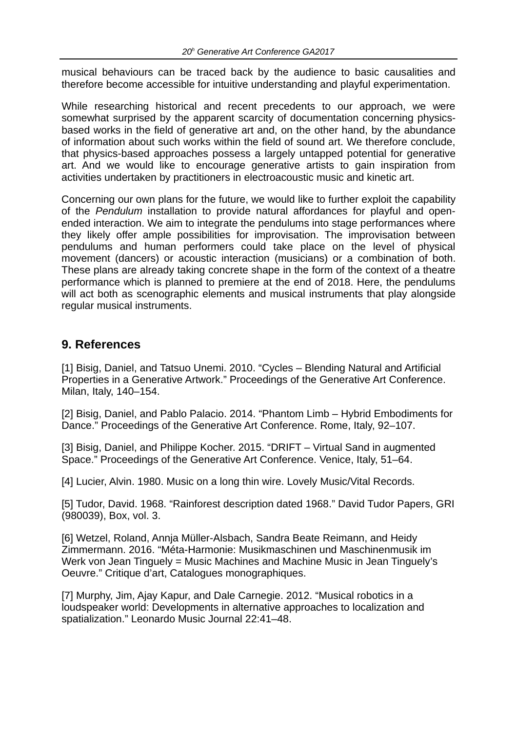musical behaviours can be traced back by the audience to basic causalities and therefore become accessible for intuitive understanding and playful experimentation.

While researching historical and recent precedents to our approach, we were somewhat surprised by the apparent scarcity of documentation concerning physicsbased works in the field of generative art and, on the other hand, by the abundance of information about such works within the field of sound art. We therefore conclude, that physics-based approaches possess a largely untapped potential for generative art. And we would like to encourage generative artists to gain inspiration from activities undertaken by practitioners in electroacoustic music and kinetic art.

Concerning our own plans for the future, we would like to further exploit the capability of the *Pendulum* installation to provide natural affordances for playful and openended interaction. We aim to integrate the pendulums into stage performances where they likely offer ample possibilities for improvisation. The improvisation between pendulums and human performers could take place on the level of physical movement (dancers) or acoustic interaction (musicians) or a combination of both. These plans are already taking concrete shape in the form of the context of a theatre performance which is planned to premiere at the end of 2018. Here, the pendulums will act both as scenographic elements and musical instruments that play alongside regular musical instruments.

### **9. References**

[1] Bisig, Daniel, and Tatsuo Unemi. 2010. "Cycles – Blending Natural and Artificial Properties in a Generative Artwork." Proceedings of the Generative Art Conference. Milan, Italy, 140–154.

[2] Bisig, Daniel, and Pablo Palacio. 2014. "Phantom Limb – Hybrid Embodiments for Dance." Proceedings of the Generative Art Conference. Rome, Italy, 92–107.

[3] Bisig, Daniel, and Philippe Kocher. 2015. "DRIFT – Virtual Sand in augmented Space." Proceedings of the Generative Art Conference. Venice, Italy, 51–64.

[4] Lucier, Alvin. 1980. Music on a long thin wire. Lovely Music/Vital Records.

[5] Tudor, David. 1968. "Rainforest description dated 1968." David Tudor Papers, GRI (980039), Box, vol. 3.

[6] Wetzel, Roland, Annja Müller-Alsbach, Sandra Beate Reimann, and Heidy Zimmermann. 2016. "Méta-Harmonie: Musikmaschinen und Maschinenmusik im Werk von Jean Tinguely = Music Machines and Machine Music in Jean Tinguely's Oeuvre." Critique d'art, Catalogues monographiques.

[7] Murphy, Jim, Ajay Kapur, and Dale Carnegie. 2012. "Musical robotics in a loudspeaker world: Developments in alternative approaches to localization and spatialization." Leonardo Music Journal 22:41–48.